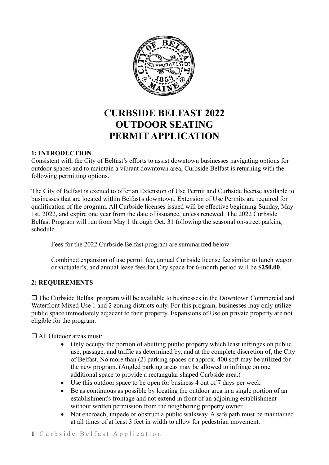

# **CURBSIDE BELFAST 2022 OUTDOOR SEATING PERMIT APPLICATION**

## **1: INTRODUCTION**

Consistent with the City of Belfast's efforts to assist downtown businesses navigating options for outdoor spaces and to maintain a vibrant downtown area, Curbside Belfast is returning with the following permitting options.

The City of Belfast is excited to offer an Extension of Use Permit and Curbside license available to businesses that are located within Belfast's downtown. Extension of Use Permits are required for qualification of the program. All Curbside licenses issued will be effective beginning Sunday, May 1st, 2022, and expire one year from the date of issuance, unless renewed. The 2022 Curbside Belfast Program will run from May 1 through Oct. 31 following the seasonal on-street parking schedule.

Fees for the 2022 Curbside Belfast program are summarized below:

Combined expansion of use permit fee, annual Curbside license fee similar to lunch wagon or victualer's, and annual lease fees for City space for 6-month period will be **\$250.00**.

#### **2: REQUIREMENTS**

 $\Box$  The Curbside Belfast program will be available to businesses in the Downtown Commercial and Waterfront Mixed Use 1 and 2 zoning districts only. For this program, businesses may only utilize public space immediately adjacent to their property. Expansions of Use on private property are not eligible for the program.

□ All Outdoor areas must:

- Only occupy the portion of abutting public property which least infringes on public use, passage, and traffic as determined by, and at the complete discretion of, the City of Belfast. No more than (2) parking spaces or approx. 400 sqft may be utilized for the new program. (Angled parking areas may be allowed to infringe on one additional space to provide a rectangular shaped Curbside area.)
- Use this outdoor space to be open for business 4 out of 7 days per week
- Be as continuous as possible by locating the outdoor area in a single portion of an establishment's frontage and not extend in front of an adjoining establishment without written permission from the neighboring property owner.
- Not encroach, impede or obstruct a public walkway. A safe path must be maintained at all times of at least 3 feet in width to allow for pedestrian movement.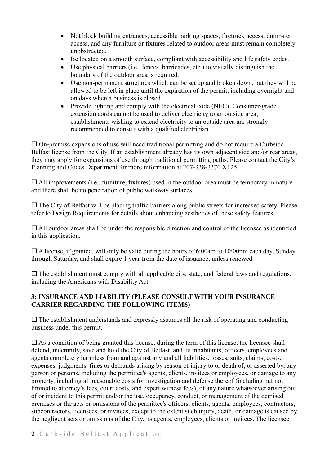- Not block building entrances, accessible parking spaces, firetruck access, dumpster access, and any furniture or fixtures related to outdoor areas must remain completely unobstructed.
- Be located on a smooth surface, compliant with accessibility and life safety codes.
- Use physical barriers (i.e., fences, barricades, etc.) to visually distinguish the boundary of the outdoor area is required.
- Use non-permanent structures which can be set up and broken down, but they will be allowed to be left in place until the expiration of the permit, including overnight and on days when a business is closed.
- Provide lighting and comply with the electrical code (NEC). Consumer-grade extension cords cannot be used to deliver electricity to an outside area; establishments wishing to extend electricity to an outside area are strongly recommended to consult with a qualified electrician.

 $\Box$  On-premise expansions of use will need traditional permitting and do not require a Curbside Belfast license from the City. If an establishment already has its own adjacent side and/or rear areas, they may apply for expansions of use through traditional permitting paths. Please contact the City's Planning and Codes Department for more information at 207-338-3370 X125.

 $\Box$  All improvements (i.e., furniture, fixtures) used in the outdoor area must be temporary in nature and there shall be no penetration of public walkway surfaces.

 $\Box$  The City of Belfast will be placing traffic barriers along public streets for increased safety. Please refer to Design Requirements for details about enhancing aesthetics of these safety features.

 All outdoor areas shall be under the responsible direction and control of the licensee as identified in this application.

 $\Box$  A license, if granted, will only be valid during the hours of 6:00am to 10:00pm each day, Sunday through Saturday, and shall expire 1 year from the date of issuance, unless renewed.

 $\Box$  The establishment must comply with all applicable city, state, and federal laws and regulations, including the Americans with Disability Act.

## **3: INSURANCE AND LIABILITY (PLEASE CONSULT WITH YOUR INSURANCE CARRIER REGARDING THE FOLLOWING ITEMS)**

 $\square$  The establishment understands and expressly assumes all the risk of operating and conducting business under this permit.

 $\Box$  As a condition of being granted this license, during the term of this license, the licensee shall defend, indemnify, save and hold the City of Belfast, and its inhabitants, officers, employees and agents completely harmless from and against any and all liabilities, losses, suits, claims, costs, expenses, judgments, fines or demands arising by reason of injury to or death of, or asserted by, any person or persons, including the permittee's agents, clients, invitees or employees, or damage to any property, including all reasonable costs for investigation and defense thereof (including but not limited to attorney's fees, court costs, and expert witness fees), of any nature whatsoever arising out of or incident to this permit and/or the use, occupancy, conduct, or management of the demised premises or the acts or omissions of the permittee's officers, clients, agents, employees, contractors, subcontractors, licensees, or invitees, except to the extent such injury, death, or damage is caused by the negligent acts or omissions of the City, its agents, employees, clients or invitees. The licensee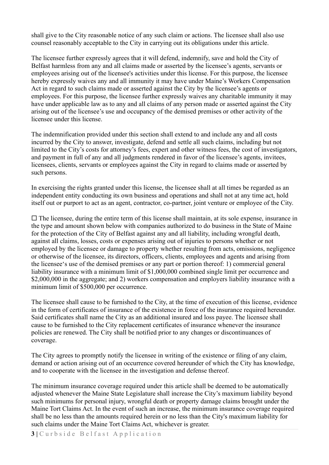shall give to the City reasonable notice of any such claim or actions. The licensee shall also use counsel reasonably acceptable to the City in carrying out its obligations under this article.

The licensee further expressly agrees that it will defend, indemnify, save and hold the City of Belfast harmless from any and all claims made or asserted by the licensee's agents, servants or employees arising out of the licensee's activities under this license. For this purpose, the licensee hereby expressly waives any and all immunity it may have under Maine's Workers Compensation Act in regard to such claims made or asserted against the City by the licensee's agents or employees. For this purpose, the licensee further expressly waives any charitable immunity it may have under applicable law as to any and all claims of any person made or asserted against the City arising out of the licensee's use and occupancy of the demised premises or other activity of the licensee under this license.

The indemnification provided under this section shall extend to and include any and all costs incurred by the City to answer, investigate, defend and settle all such claims, including but not limited to the City's costs for attorney's fees, expert and other witness fees, the cost of investigators, and payment in full of any and all judgments rendered in favor of the licensee's agents, invitees, licensees, clients, servants or employees against the City in regard to claims made or asserted by such persons.

In exercising the rights granted under this license, the licensee shall at all times be regarded as an independent entity conducting its own business and operations and shall not at any time act, hold itself out or purport to act as an agent, contractor, co-partner, joint venture or employee of the City.

 $\Box$  The licensee, during the entire term of this license shall maintain, at its sole expense, insurance in the type and amount shown below with companies authorized to do business in the State of Maine for the protection of the City of Belfast against any and all liability, including wrongful death, against all claims, losses, costs or expenses arising out of injuries to persons whether or not employed by the licensee or damage to property whether resulting from acts, omissions, negligence or otherwise of the licensee, its directors, officers, clients, employees and agents and arising from the licensee's use of the demised premises or any part or portion thereof: 1) commercial general liability insurance with a minimum limit of \$1,000,000 combined single limit per occurrence and \$2,000,000 in the aggregate; and 2) workers compensation and employers liability insurance with a minimum limit of \$500,000 per occurrence.

The licensee shall cause to be furnished to the City, at the time of execution of this license, evidence in the form of certificates of insurance of the existence in force of the insurance required hereunder. Said certificates shall name the City as an additional insured and loss payee. The licensee shall cause to be furnished to the City replacement certificates of insurance whenever the insurance policies are renewed. The City shall be notified prior to any changes or discontinuances of coverage.

The City agrees to promptly notify the licensee in writing of the existence or filing of any claim, demand or action arising out of an occurrence covered hereunder of which the City has knowledge, and to cooperate with the licensee in the investigation and defense thereof.

The minimum insurance coverage required under this article shall be deemed to be automatically adjusted whenever the Maine State Legislature shall increase the City's maximum liability beyond such minimums for personal injury, wrongful death or property damage claims brought under the Maine Tort Claims Act. In the event of such an increase, the minimum insurance coverage required shall be no less than the amounts required herein or no less than the City's maximum liability for such claims under the Maine Tort Claims Act, whichever is greater.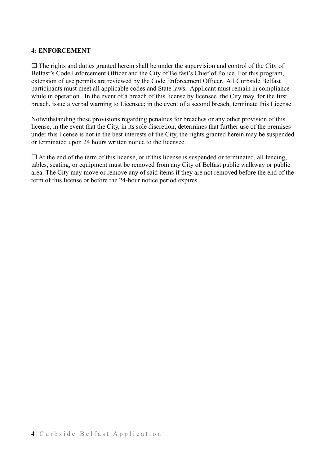#### **4: ENFORCEMENT**

 $\Box$  The rights and duties granted herein shall be under the supervision and control of the City of Belfast's Code Enforcement Officer and the City of Belfast's Chief of Police. For this program, extension of use permits are reviewed by the Code Enforcement Officer. All Curbside Belfast participants must meet all applicable codes and State laws. Applicant must remain in compliance while in operation. In the event of a breach of this license by licensee, the City may, for the first breach, issue a verbal warning to Licensee; in the event of a second breach, terminate this License.

Notwithstanding these provisions regarding penalties for breaches or any other provision of this license, in the event that the City, in its sole discretion, determines that further use of the premises under this license is not in the best interests of the City, the rights granted herein may be suspended or terminated upon 24 hours written notice to the licensee.

 $\Box$  At the end of the term of this license, or if this license is suspended or terminated, all fencing, tables, seating, or equipment must be removed from any City of Belfast public walkway or public area. The City may move or remove any of said items if they are not removed before the end of the term of this license or before the 24-hour notice period expires.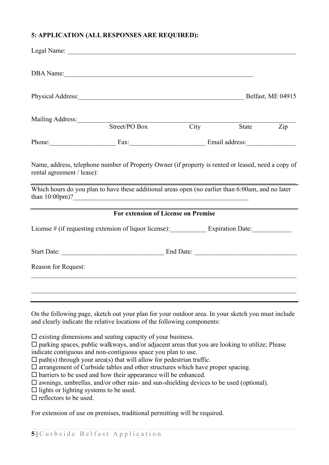# **5: APPLICATION (ALL RESPONSES ARE REQUIRED):**

|                                                                                |                                                                                                                                                                                                                                                                                                                                                                                                                                                                                                                                                                                                            |                                 |       | Belfast, ME 04915 |
|--------------------------------------------------------------------------------|------------------------------------------------------------------------------------------------------------------------------------------------------------------------------------------------------------------------------------------------------------------------------------------------------------------------------------------------------------------------------------------------------------------------------------------------------------------------------------------------------------------------------------------------------------------------------------------------------------|---------------------------------|-------|-------------------|
|                                                                                | Mailing Address: Mailing Address:                                                                                                                                                                                                                                                                                                                                                                                                                                                                                                                                                                          |                                 |       |                   |
|                                                                                | Street/PO Box                                                                                                                                                                                                                                                                                                                                                                                                                                                                                                                                                                                              | City                            | State | Zip               |
|                                                                                |                                                                                                                                                                                                                                                                                                                                                                                                                                                                                                                                                                                                            | Phone: Fax: Fax: Email address: |       |                   |
| rental agreement / lease):                                                     | Name, address, telephone number of Property Owner (if property is rented or leased, need a copy of                                                                                                                                                                                                                                                                                                                                                                                                                                                                                                         |                                 |       |                   |
|                                                                                | Which hours do you plan to have these additional areas open (no earlier than 6:00am, and no later<br>than $10:00 \text{pm}$ ?                                                                                                                                                                                                                                                                                                                                                                                                                                                                              |                                 |       |                   |
|                                                                                | <b>For extension of License on Premise</b>                                                                                                                                                                                                                                                                                                                                                                                                                                                                                                                                                                 |                                 |       |                   |
|                                                                                | License # (if requesting extension of liquor license): Expiration Date: _________                                                                                                                                                                                                                                                                                                                                                                                                                                                                                                                          |                                 |       |                   |
|                                                                                |                                                                                                                                                                                                                                                                                                                                                                                                                                                                                                                                                                                                            |                                 |       |                   |
| Reason for Request:                                                            |                                                                                                                                                                                                                                                                                                                                                                                                                                                                                                                                                                                                            |                                 |       |                   |
|                                                                                |                                                                                                                                                                                                                                                                                                                                                                                                                                                                                                                                                                                                            |                                 |       |                   |
|                                                                                |                                                                                                                                                                                                                                                                                                                                                                                                                                                                                                                                                                                                            |                                 |       |                   |
|                                                                                | On the following page, sketch out your plan for your outdoor area. In your sketch you must include<br>and clearly indicate the relative locations of the following components:                                                                                                                                                                                                                                                                                                                                                                                                                             |                                 |       |                   |
| $\Box$ lights or lighting systems to be used.<br>$\Box$ reflectors to be used. | $\square$ existing dimensions and seating capacity of your business.<br>$\Box$ parking spaces, public walkways, and/or adjacent areas that you are looking to utilize; Please<br>indicate contiguous and non-contiguous space you plan to use.<br>$\Box$ path(s) through your area(s) that will allow for pedestrian traffic.<br>$\square$ arrangement of Curbside tables and other structures which have proper spacing.<br>$\square$ barriers to be used and how their appearance will be enhanced.<br>$\square$ awnings, umbrellas, and/or other rain- and sun-shielding devices to be used (optional). |                                 |       |                   |

For extension of use on premises, traditional permitting will be required.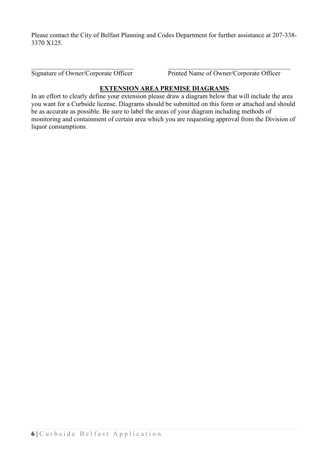Please contact the City of Belfast Planning and Codes Department for further assistance at 207-338- 3370 X125.

Signature of Owner/Corporate Officer Printed Name of Owner/Corporate Officer

# **EXTENSION AREA PREMISE DIAGRAMS**

In an effort to clearly define your extension please draw a diagram below that will include the area you want for a Curbside license. Diagrams should be submitted on this form or attached and should be as accurate as possible. Be sure to label the areas of your diagram including methods of monitoring and containment of certain area which you are requesting approval from the Division of liquor consumptions.